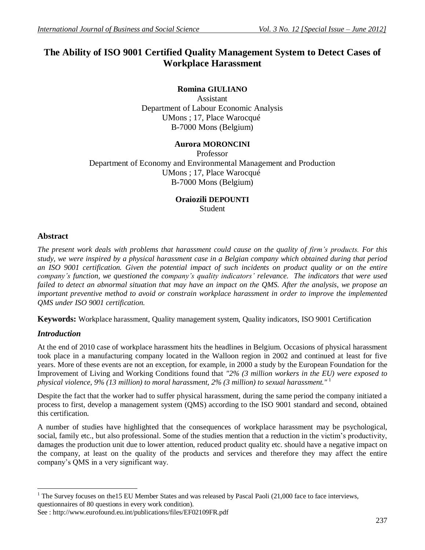# **The Ability of ISO 9001 Certified Quality Management System to Detect Cases of Workplace Harassment**

# **Romina GIULIANO**

Assistant Department of Labour Economic Analysis UMons ; 17, Place Warocqué B-7000 Mons (Belgium)

# **Aurora MORONCINI**

Professor Department of Economy and Environmental Management and Production UMons ; 17, Place Warocqué B-7000 Mons (Belgium)

# **Oraiozili DEPOUNTI Student**

# **Abstract**

*The present work deals with problems that harassment could cause on the quality of firm's products. For this study, we were inspired by a physical harassment case in a Belgian company which obtained during that period an ISO 9001 certification. Given the potential impact of such incidents on product quality or on the entire company's function, we questioned the company's quality indicators' relevance. The indicators that were used failed to detect an abnormal situation that may have an impact on the QMS. After the analysis, we propose an important preventive method to avoid or constrain workplace harassment in order to improve the implemented QMS under ISO 9001 certification.*

**Keywords:** Workplace harassment, Quality management system, Quality indicators, ISO 9001 Certification

## *Introduction*

 $\overline{a}$ 

At the end of 2010 case of workplace harassment hits the headlines in Belgium. Occasions of physical harassment took place in a manufacturing company located in the Walloon region in 2002 and continued at least for five years. More of these events are not an exception, for example, in 2000 a study by the European Foundation for the Improvement of Living and Working Conditions found that *"2% (3 million workers in the EU) were exposed to physical violence, 9% (13 million) to moral harassment, 2% (3 million) to sexual harassment."* <sup>1</sup>

Despite the fact that the worker had to suffer physical harassment, during the same period the company initiated a process to first, develop a management system (QMS) according to the ISO 9001 standard and second, obtained this certification.

A number of studies have highlighted that the consequences of workplace harassment may be psychological, social, family etc., but also professional. Some of the studies mention that a reduction in the victim's productivity, damages the production unit due to lower attention, reduced product quality etc. should have a negative impact on the company, at least on the quality of the products and services and therefore they may affect the entire company's QMS in a very significant way.

The Survey focuses on the15 EU Member States and was released by Pascal Paoli (21,000 face to face interviews, questionnaires of 80 questions in every work condition).

See : http://www.eurofound.eu.int/publications/files/EF02109FR.pdf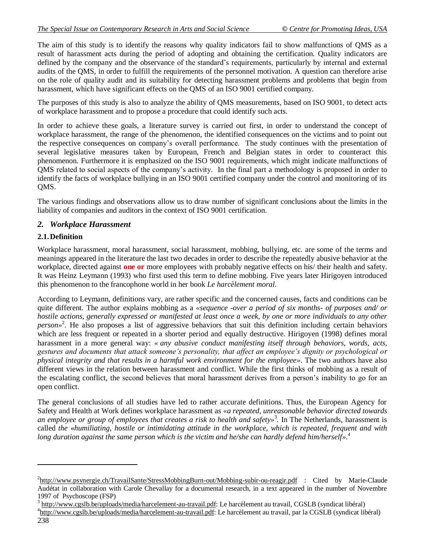The aim of this study is to identify the reasons why quality indicators fail to show malfunctions of QMS as a result of harassment acts during the period of adopting and obtaining the certification. Quality indicators are defined by the company and the observance of the standard's requirements, particularly by internal and external audits of the QMS, in order to fulfill the requirements of the personnel motivation. A question can therefore arise on the role of quality audit and its suitability for detecting harassment problems and problems that begin from harassment, which have significant effects on the QMS of an ISO 9001 certified company.

The purposes of this study is also to analyze the ability of QMS measurements, based on ISO 9001, to detect acts of workplace harassment and to propose a procedure that could identify such acts.

In order to achieve these goals, a literature survey is carried out first, in order to understand the concept of workplace harassment, the range of the phenomenon, the identified consequences on the victims and to point out the respective consequences on company's overall performance. The study continues with the presentation of several legislative measures taken by European, French and Belgian states in order to counteract this phenomenon. Furthermore it is emphasized on the ISO 9001 requirements, which might indicate malfunctions of QMS related to social aspects of the company's activity. In the final part a methodology is proposed in order to identify the facts of workplace bullying in an ISO 9001 certified company under the control and monitoring of its QMS.

The various findings and observations allow us to draw number of significant conclusions about the limits in the liability of companies and auditors in the context of ISO 9001 certification.

## *2. Workplace Harassment*

## **2.1.Definition**

 $\overline{\phantom{a}}$ 

Workplace harassment, moral harassment, social harassment, mobbing, bullying, etc. are some of the terms and meanings appeared in the literature the last two decades in order to describe the repeatedly abusive behavior at the workplace, directed against **one or** more employees with probably negative effects on his/ their health and safety. It was Heinz Leymann (1993) who first used this term to define mobbing. Five years later Hirigoyen introduced this phenomenon to the francophone world in her book *Le harcèlement moral*.

According to Leymann, definitions vary, are rather specific and the concerned causes, facts and conditions can be quite different. The author explains mobbing as a *«sequence -over a period of six months- of purposes and/ or hostile actions, generally expressed or manifested at least once a week, by one or more individuals to any other person»* 2 . He also proposes a list of aggressive behaviors that suit this definition including certain behaviors which are less frequent or repeated in a shorter period and equally destructive. Hirigoyen (1998) defines moral harassment in a more general way: *« any abusive conduct manifesting itself through behaviors, words, acts, gestures and documents that attack someone's personality, that affect an employee's dignity or psychological or physical integrity and that results in a harmful work environment for the employee»*. The two authors have also different views in the relation between harassment and conflict. While the first thinks of mobbing as a result of the escalating conflict, the second believes that moral harassment derives from a person's inability to go for an open conflict.

The general conclusions of all studies have led to rather accurate definitions. Thus, the European Agency for Safety and Health at Work defines workplace harassment as *«a repeated, unreasonable behavior directed towards an employee or group of employees that creates a risk to health and safety»*<sup>3</sup> *.* In The Netherlands, harassment is called *the* «*humiliating, hostile or intimidating attitude in the workplace, which is repeated, frequent and with long duration against the same person which is the victim and he/she can hardly defend him/herself». 4*

<sup>&</sup>lt;sup>2</sup><http://www.psynergie.ch/TravailSante/StressMobbingBurn-out/Mobbing-subir-ou-reagir.pdf> : Cited by Marie-Claude Audétat in collaboration with Carole Chevallay for a documental research, in a text appeared in the number of Novembre 1997 of Psychoscope (FSP)

<sup>&</sup>lt;sup>3</sup> [http://www.cgslb.be/uploads/media/harcelement-au-travail.pdf:](http://www.cgslb.be/uploads/media/harcelement-au-travail.pdf) Le harcèlement au travail, CGSLB (syndicat libéral)

<sup>238</sup> <sup>4</sup>[http://www.cgslb.be/uploads/media/harcelement-au-travail.pdf:](http://www.cgslb.be/uploads/media/harcelement-au-travail.pdf) Le harcèlement au travail, par la CGSLB (syndicat libéral)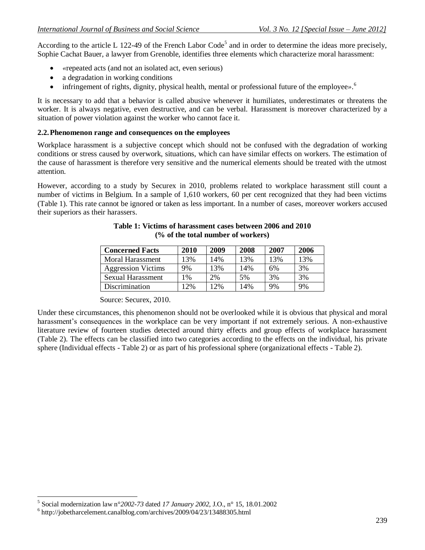According to the article L 122-49 of the French Labor Code<sup>5</sup> and in order to determine the ideas more precisely, Sophie Cachat Bauer, a lawyer from Grenoble, identifies three elements which characterize moral harassment:

- *«*repeated acts (and not an isolated act, even serious)
- a degradation in working conditions
- infringement of rights, dignity, physical health, mental or professional future of the employee».<sup>6</sup>

It is necessary to add that a behavior is called abusive whenever it humiliates, underestimates or threatens the worker. It is always negative, even destructive, and can be verbal. Harassment is moreover characterized by a situation of power violation against the worker who cannot face it.

#### **2.2.Phenomenon range and consequences on the employees**

Workplace harassment is a subjective concept which should not be confused with the degradation of working conditions or stress caused by overwork, situations, which can have similar effects on workers. The estimation of the cause of harassment is therefore very sensitive and the numerical elements should be treated with the utmost attention.

However, according to a study by Securex in 2010, problems related to workplace harassment still count a number of victims in Belgium. In a sample of 1,610 workers, 60 per cent recognized that they had been victims (Table 1). This rate cannot be ignored or taken as less important. In a number of cases, moreover workers accused their superiors as their harassers.

| <b>Concerned Facts</b>    | 2010 | 2009 | 2008 | 2007 | 2006 |
|---------------------------|------|------|------|------|------|
| <b>Moral Harassment</b>   | 13%  | 14%  | 13%  | 13%  | 13%  |
| <b>Aggression Victims</b> | 9%   | 13%  | 14%  | 6%   | 3%   |
| Sexual Harassment         | 1%   | 2%   | 5%   | 3%   | 3%   |
| Discrimination            | 12%  | 12%  | 14%  | 9%   | 9%   |

#### **Table 1: Victims of harassment cases between 2006 and 2010 (% of the total number of workers)**

Source: Securex, 2010.

Under these circumstances, this phenomenon should not be overlooked while it is obvious that physical and moral harassment's consequences in the workplace can be very important if not extremely serious. A non-exhaustive literature review of fourteen studies detected around thirty effects and group effects of workplace harassment (Table 2). The effects can be classified into two categories according to the effects on the individual, his private sphere (Individual effects - Table 2) or as part of his professional sphere (organizational effects - Table 2).

 5 Social modernization law n°*2002-73* dated *17 January 2002*, J.O., n° 15, 18.01.2002

<sup>&</sup>lt;sup>6</sup> <http://jobetharcelement.canalblog.com/archives/2009/04/23/13488305.html>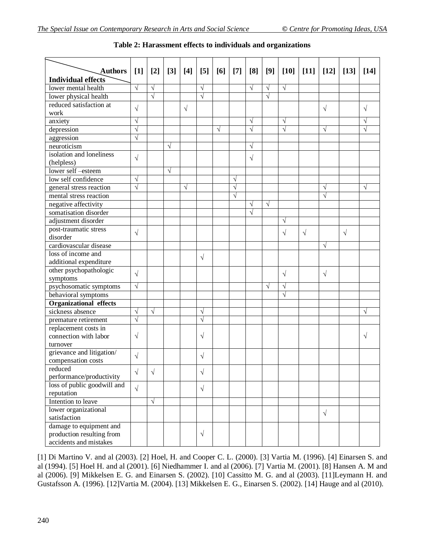| <b>Authors</b>                | $[1]$      | $[2]$      | $[3]$      | $[4]$     | [5]        | [6]       | $[7]$                 | [8]        | [9]        | $[10]$     | $[11]$    | $[12]$     | $[13]$    | $[14]$    |
|-------------------------------|------------|------------|------------|-----------|------------|-----------|-----------------------|------------|------------|------------|-----------|------------|-----------|-----------|
| <b>Individual effects</b>     |            |            |            |           |            |           |                       |            |            |            |           |            |           |           |
| lower mental health           | $\sqrt{}$  | $\sqrt{ }$ |            |           | $\sqrt{}$  |           |                       | $\sqrt{ }$ | $\sqrt{ }$ | $\sqrt{ }$ |           |            |           |           |
| lower physical health         |            | $\sqrt{}$  |            |           | $\sqrt{ }$ |           |                       |            | $\sqrt{ }$ |            |           |            |           |           |
| reduced satisfaction at       |            |            |            |           |            |           |                       |            |            |            |           |            |           |           |
| work                          | $\sqrt{}$  |            |            | $\sqrt{}$ |            |           |                       |            |            |            |           | $\sqrt{}$  |           | $\sqrt{}$ |
| anxiety                       | $\sqrt{}$  |            |            |           |            |           |                       | $\sqrt{}$  |            | $\sqrt{}$  |           |            |           |           |
| depression                    | $\sqrt{}$  |            |            |           |            | $\sqrt{}$ |                       | $\sqrt{}$  |            | $\sqrt{}$  |           | $\sqrt{}$  |           |           |
| aggression                    | $\sqrt{}$  |            |            |           |            |           |                       |            |            |            |           |            |           |           |
| neuroticism                   |            |            | $\sqrt{}$  |           |            |           |                       | $\sqrt{}$  |            |            |           |            |           |           |
| isolation and loneliness      |            |            |            |           |            |           |                       |            |            |            |           |            |           |           |
| (helpless)                    | $\sqrt{}$  |            |            |           |            |           |                       | $\sqrt{}$  |            |            |           |            |           |           |
| lower self-esteem             |            |            | $\sqrt{ }$ |           |            |           |                       |            |            |            |           |            |           |           |
| low self confidence           | $\sqrt{ }$ |            |            |           |            |           | $\sqrt{ }$            |            |            |            |           |            |           |           |
| general stress reaction       | $\sqrt{}$  |            |            | $\sqrt{}$ |            |           | $\sqrt{}$             |            |            |            |           | $\sqrt{ }$ |           | $\sqrt{}$ |
| mental stress reaction        |            |            |            |           |            |           | $\overline{\sqrt{ }}$ |            |            |            |           | $\sqrt{ }$ |           |           |
| negative affectivity          |            |            |            |           |            |           |                       | $\sqrt{ }$ | $\sqrt{ }$ |            |           |            |           |           |
| somatisation disorder         |            |            |            |           |            |           |                       | $\sqrt{}$  |            |            |           |            |           |           |
| adjustment disorder           |            |            |            |           |            |           |                       |            |            | $\sqrt{ }$ |           |            |           |           |
| post-traumatic stress         |            |            |            |           |            |           |                       |            |            |            |           |            |           |           |
| disorder                      | $\sqrt{}$  |            |            |           |            |           |                       |            |            | $\sqrt{}$  | $\sqrt{}$ |            | $\sqrt{}$ |           |
| cardiovascular disease        |            |            |            |           |            |           |                       |            |            |            |           | $\sqrt{ }$ |           |           |
| loss of income and            |            |            |            |           |            |           |                       |            |            |            |           |            |           |           |
| additional expenditure        |            |            |            |           | $\sqrt{}$  |           |                       |            |            |            |           |            |           |           |
| other psychopathologic        |            |            |            |           |            |           |                       |            |            |            |           |            |           |           |
| symptoms                      | $\sqrt{}$  |            |            |           |            |           |                       |            |            | $\sqrt{}$  |           | $\sqrt{}$  |           |           |
| psychosomatic symptoms        | $\sqrt{ }$ |            |            |           |            |           |                       |            | $\sqrt{ }$ | $\sqrt{ }$ |           |            |           |           |
| behavioral symptoms           |            |            |            |           |            |           |                       |            |            | $\sqrt{}$  |           |            |           |           |
| <b>Organizational effects</b> |            |            |            |           |            |           |                       |            |            |            |           |            |           |           |
| sickness absence              | $\sqrt{}$  | $\sqrt{ }$ |            |           | $\sqrt{}$  |           |                       |            |            |            |           |            |           | $\sqrt{}$ |
| premature retirement          | $\sqrt{ }$ |            |            |           | $\sqrt{}$  |           |                       |            |            |            |           |            |           |           |
| replacement costs in          |            |            |            |           |            |           |                       |            |            |            |           |            |           |           |
| connection with labor         | $\sqrt{}$  |            |            |           | $\sqrt{}$  |           |                       |            |            |            |           |            |           | V         |
| turnover                      |            |            |            |           |            |           |                       |            |            |            |           |            |           |           |
| grievance and litigation/     |            |            |            |           |            |           |                       |            |            |            |           |            |           |           |
| compensation costs            | $\sqrt{}$  |            |            |           | V          |           |                       |            |            |            |           |            |           |           |
| reduced                       |            |            |            |           |            |           |                       |            |            |            |           |            |           |           |
| performance/productivity      | $\sqrt{}$  | $\sqrt{}$  |            |           | $\sqrt{}$  |           |                       |            |            |            |           |            |           |           |
| loss of public goodwill and   |            |            |            |           |            |           |                       |            |            |            |           |            |           |           |
| reputation                    | $\sqrt{ }$ |            |            |           | $\sqrt{ }$ |           |                       |            |            |            |           |            |           |           |
| Intention to leave            |            | $\sqrt{ }$ |            |           |            |           |                       |            |            |            |           |            |           |           |
| lower organizational          |            |            |            |           |            |           |                       |            |            |            |           |            |           |           |
| satisfaction                  |            |            |            |           |            |           |                       |            |            |            |           | $\sqrt{ }$ |           |           |
| damage to equipment and       |            |            |            |           |            |           |                       |            |            |            |           |            |           |           |
| production resulting from     |            |            |            |           | $\sqrt{}$  |           |                       |            |            |            |           |            |           |           |
| accidents and mistakes        |            |            |            |           |            |           |                       |            |            |            |           |            |           |           |

| Table 2: Harassment effects to individuals and organizations |  |  |  |
|--------------------------------------------------------------|--|--|--|
|--------------------------------------------------------------|--|--|--|

[1] Di Martino V. and al (2003). [2] Hoel, H. and Cooper C. L. (2000). [3] Vartia M. (1996). [4] Einarsen S. and al (1994). [5] Hoel H. and al (2001). [6] Niedhammer I. and al (2006). [7] Vartia M. (2001). [8] Hansen A. M and al (2006). [9] Mikkelsen E. G. and Einarsen S. (2002). [10] Cassitto M. G. and al (2003). [11]Leymann H. and Gustafsson A. (1996). [12]Vartia M. (2004). [13] Mikkelsen E. G., Einarsen S. (2002). [14] Hauge and al (2010).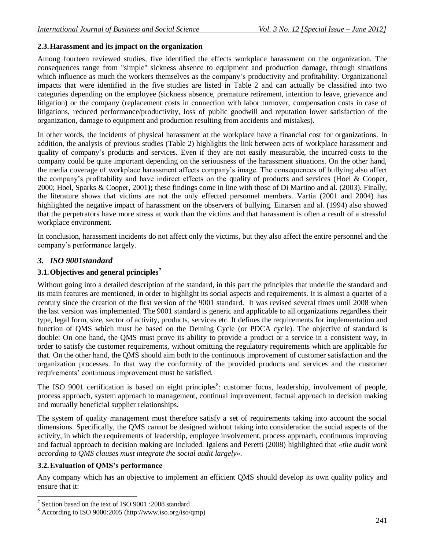# **2.3.Harassment and its impact on the organization**

Among fourteen reviewed studies, five identified the effects workplace harassment on the organization. The consequences range from "simple" sickness absence to equipment and production damage, through situations which influence as much the workers themselves as the company's productivity and profitability. Organizational impacts that were identified in the five studies are listed in Table 2 and can actually be classified into two categories depending on the employee (sickness absence, premature retirement, intention to leave, grievance and litigation) or the company (replacement costs in connection with labor turnover, compensation costs in case of litigations, reduced performance/productivity, loss of public goodwill and reputation lower satisfaction of the organization, damage to equipment and production resulting from accidents and mistakes).

In other words, the incidents of physical harassment at the workplace have a financial cost for organizations. In addition, the analysis of previous studies (Table 2) highlights the link between acts of workplace harassment and quality of company's products and services. Even if they are not easily measurable, the incurred costs to the company could be quite important depending on the seriousness of the harassment situations. On the other hand, the media coverage of workplace harassment affects company's image. The consequences of bullying also affect the company's profitability and have indirect effects on the quality of products and services (Hoel & Cooper, 2000; Hoel, Sparks & Cooper, 2001**);** these findings come in line with those of Di Martino and al. (2003). Finally, the literature shows that victims are not the only effected personnel members. Vartia (2001 and 2004) has highlighted the negative impact of harassment on the observers of bullying. Einarsen and al. (1994) also showed that the perpetrators have more stress at work than the victims and that harassment is often a result of a stressful workplace environment.

In conclusion, harassment incidents do not affect only the victims, but they also affect the entire personnel and the company's performance largely.

# *3. ISO 9001standard*

# **3.1.Objectives and general principles<sup>7</sup>**

Without going into a detailed description of the standard, in this part the principles that underlie the standard and its main features are mentioned, in order to highlight its social aspects and requirements**.** It is almost a quarter of a century since the creation of the first version of the 9001 standard. It was revised several times until 2008 when the last version was implemented. The 9001 standard is generic and applicable to all organizations regardless their type, legal form, size, sector of activity, products, services etc. It defines the requirements for implementation and function of QMS which must be based on the Deming Cycle (or PDCA cycle). The objective of standard is double: On one hand, the QMS must prove its ability to provide a product or a service in a consistent way, in order to satisfy the customer requirements, without omitting the regulatory requirements which are applicable for that. On the other hand, the QMS should aim both to the continuous improvement of customer satisfaction and the organization processes. In that way the conformity of the provided products and services and the customer requirements' continuous improvement must be satisfied.

The ISO 9001 certification is based on eight principles<sup>8</sup>: customer focus, leadership, involvement of people, process approach, system approach to management, continual improvement, factual approach to decision making and mutually beneficial supplier relationships.

The system of quality management must therefore satisfy a set of requirements taking into account the social dimensions. Specifically, the QMS cannot be designed without taking into consideration the social aspects of the activity, in which the requirements of leadership, employee involvement, process approach, continuous improving and factual approach to decision making are included. Igalens and Peretti (2008) highlighted that *«the audit work according to QMS clauses must integrate the social audit largely».* 

## **3.2.Evaluation of QMS's performance**

Any company which has an objective to implement an efficient QMS should develop its own quality policy and ensure that it:

<sup>&</sup>lt;sup>7</sup> Section based on the text of ISO 9001 :2008 standard

<sup>8</sup> According to ISO 9000:2005 (http://www.iso.org/iso/qmp)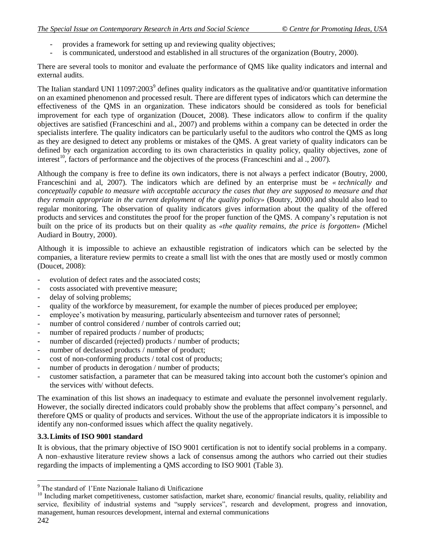- provides a framework for setting up and reviewing quality objectives;
- is communicated, understood and established in all structures of the organization (Boutry, 2000).

There are several tools to monitor and evaluate the performance of QMS like quality indicators and internal and external audits.

The Italian standard UNI 11097:2003<sup>9</sup> defines quality indicators as the qualitative and/or quantitative information on an examined phenomenon and processed result. There are different types of indicators which can determine the effectiveness of the QMS in an organization. These indicators should be considered as tools for beneficial improvement for each type of organization (Doucet, 2008). These indicators allow to confirm if the quality objectives are satisfied (Franceschini and al., 2007) and problems within a company can be detected in order the specialists interfere. The quality indicators can be particularly useful to the auditors who control the QMS as long as they are designed to detect any problems or mistakes of the QMS. A great variety of quality indicators can be defined by each organization according to its own characteristics in quality policy, quality objectives, zone of interest<sup>10</sup>, factors of performance and the objectives of the process (Franceschini and al ., 2007).

Although the company is free to define its own indicators, there is not always a perfect indicator (Boutry, 2000, Franceschini and al, 2007). The indicators which are defined by an enterprise must be *« technically and conceptually capable to measure with acceptable accuracy the cases that they are supposed to measure and that they remain appropriate in the current deployment of the quality policy»* (Boutry, 2000) and should also lead to regular monitoring. The observation of quality indicators gives information about the quality of the offered products and services and constitutes the proof for the proper function of the QMS. A company's reputation is not built on the price of its products but on their quality as *«the quality remains, the price is forgotten» (*Michel Audiard in Boutry, 2000).

Although it is impossible to achieve an exhaustible registration of indicators which can be selected by the companies, a literature review permits to create a small list with the ones that are mostly used or mostly common (Doucet, 2008):

- evolution of defect rates and the associated costs;
- costs associated with preventive measure;
- delay of solving problems;
- quality of the workforce by measurement, for example the number of pieces produced per employee;
- employee's motivation by measuring, particularly absenteeism and turnover rates of personnel;
- number of control considered / number of controls carried out;
- number of repaired products / number of products;
- number of discarded (rejected) products / number of products;
- number of declassed products / number of product;
- cost of non-conforming products / total cost of products;
- number of products in derogation / number of products;
- customer satisfaction, a parameter that can be measured taking into account both the customer's opinion and the services with/ without defects.

The examination of this list shows an inadequacy to estimate and evaluate the personnel involvement regularly. However, the socially directed indicators could probably show the problems that affect company's personnel, and therefore QMS or quality of products and services. Without the use of the appropriate indicators it is impossible to identify any non-conformed issues which affect the quality negatively.

## **3.3.Limits of ISO 9001 standard**

It is obvious, that the primary objective of ISO 9001 certification is not to identify social problems in a company. A non–exhaustive literature review shows a lack of consensus among the authors who carried out their studies regarding the impacts of implementing a QMS according to ISO 9001 (Table 3).

 $\overline{a}$ <sup>9</sup> The standard of l'Ente Nazionale Italiano di Unificazione

<sup>&</sup>lt;sup>10</sup> Including market competitiveness, customer satisfaction, market share, economic/ financial results, quality, reliability and service, flexibility of industrial systems and "supply services", research and development, progress and innovation, management, human resources development, internal and external communications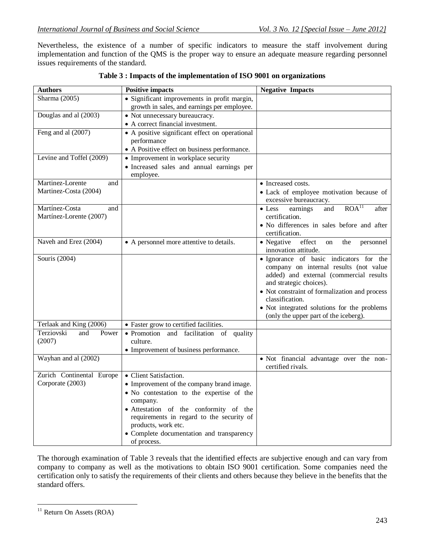Nevertheless, the existence of a number of specific indicators to measure the staff involvement during implementation and function of the QMS is the proper way to ensure an adequate measure regarding personnel issues requirements of the standard.

| <b>Authors</b>             | <b>Positive impacts</b>                        | <b>Negative Impacts</b>                                                                                      |
|----------------------------|------------------------------------------------|--------------------------------------------------------------------------------------------------------------|
| Sharma (2005)              | · Significant improvements in profit margin,   |                                                                                                              |
|                            | growth in sales, and earnings per employee.    |                                                                                                              |
| Douglas and al (2003)      | • Not unnecessary bureaucracy.                 |                                                                                                              |
|                            | • A correct financial investment.              |                                                                                                              |
| Feng and al (2007)         | • A positive significant effect on operational |                                                                                                              |
|                            | performance                                    |                                                                                                              |
|                            | • A Positive effect on business performance.   |                                                                                                              |
| Levine and Toffel (2009)   | • Improvement in workplace security            |                                                                                                              |
|                            | · Increased sales and annual earnings per      |                                                                                                              |
|                            | employee.                                      |                                                                                                              |
| Martinez-Lorente<br>and    |                                                | • Increased costs.                                                                                           |
| Martinez-Costa (2004)      |                                                | • Lack of employee motivation because of<br>excessive bureaucracy.                                           |
| Martínez-Costa<br>and      |                                                | ROA <sup>11</sup><br>and<br>$\bullet$ Less<br>earnings<br>after                                              |
| Martínez-Lorente (2007)    |                                                | certification.                                                                                               |
|                            |                                                | · No differences in sales before and after                                                                   |
|                            |                                                | certification.                                                                                               |
| Naveh and Erez (2004)      | • A personnel more attentive to details.       | effect<br>• Negative<br>the<br>personnel<br><sub>on</sub><br>innovation attitude.                            |
| Souris $(2004)$            |                                                | · Ignorance of basic indicators for the                                                                      |
|                            |                                                | company on internal results (not value<br>added) and external (commercial results<br>and strategic choices). |
|                            |                                                | • Not constraint of formalization and process<br>classification.                                             |
|                            |                                                | · Not integrated solutions for the problems                                                                  |
|                            |                                                | (only the upper part of the iceberg).                                                                        |
| Terlaak and King (2006)    | • Faster grow to certified facilities.         |                                                                                                              |
| Terziovski<br>and<br>Power | • Promotion<br>and facilitation of quality     |                                                                                                              |
| (2007)                     | culture.                                       |                                                                                                              |
|                            | • Improvement of business performance.         |                                                                                                              |
| Wayhan and al (2002)       |                                                | · Not financial advantage over the non-<br>certified rivals.                                                 |
| Zurich Continental Europe  | • Client Satisfaction.                         |                                                                                                              |
| Corporate (2003)           | • Improvement of the company brand image.      |                                                                                                              |
|                            | • No contestation to the expertise of the      |                                                                                                              |
|                            | company.                                       |                                                                                                              |
|                            | • Attestation of the conformity of the         |                                                                                                              |
|                            | requirements in regard to the security of      |                                                                                                              |
|                            | products, work etc.                            |                                                                                                              |
|                            | • Complete documentation and transparency      |                                                                                                              |
|                            | of process.                                    |                                                                                                              |

|  |  | Table 3 : Impacts of the implementation of ISO 9001 on organizations |
|--|--|----------------------------------------------------------------------|
|  |  |                                                                      |

The thorough examination of Table 3 reveals that the identified effects are subjective enough and can vary from company to company as well as the motivations to obtain ISO 9001 certification. Some companies need the certification only to satisfy the requirements of their clients and others because they believe in the benefits that the standard offers.

 $\overline{\phantom{a}}$ 

 $11$  Return On Assets (ROA)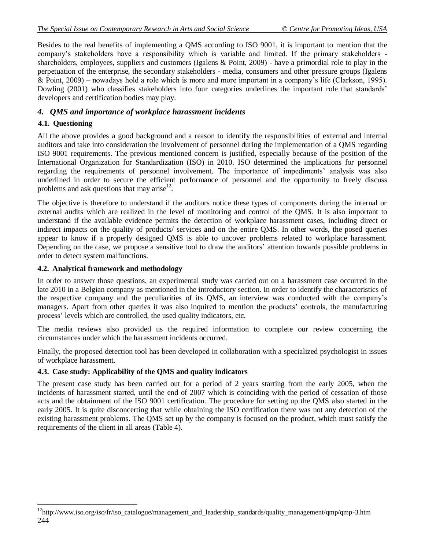Besides to the real benefits of implementing a QMS according to ISO 9001, it is important to mention that the company's stakeholders have a responsibility which is variable and limited. If the primary stakeholders shareholders, employees, suppliers and customers (Igalens & Point, 2009) - have a primordial role to play in the perpetuation of the enterprise, the secondary stakeholders - media, consumers and other pressure groups (Igalens & Point, 2009) – nowadays hold a role which is more and more important in a company's life (Clarkson, 1995). Dowling (2001) who classifies stakeholders into four categories underlines the important role that standards' developers and certification bodies may play.

# *4. QMS and importance of workplace harassment incidents*

#### **4.1. Questioning**

 $\overline{\phantom{a}}$ 

All the above provides a good background and a reason to identify the responsibilities of external and internal auditors and take into consideration the involvement of personnel during the implementation of a QMS regarding ISO 9001 requirements. The previous mentioned concern is justified, especially because of the position of the International Organization for Standardization (ISO) in 2010. ISO determined the implications for personnel regarding the requirements of personnel involvement. The importance of impediments' analysis was also underlined in order to secure the efficient performance of personnel and the opportunity to freely discuss problems and ask questions that may arise<sup>12</sup>.

The objective is therefore to understand if the auditors notice these types of components during the internal or external audits which are realized in the level of monitoring and control of the QMS. It is also important to understand if the available evidence permits the detection of workplace harassment cases, including direct or indirect impacts on the quality of products/ services and on the entire QMS. In other words, the posed queries appear to know if a properly designed QMS is able to uncover problems related to workplace harassment. Depending on the case, we propose a sensitive tool to draw the auditors' attention towards possible problems in order to detect system malfunctions.

#### **4.2. Analytical framework and methodology**

In order to answer those questions, an experimental study was carried out on a harassment case occurred in the late 2010 in a Belgian company as mentioned in the introductory section. In order to identify the characteristics of the respective company and the peculiarities of its QMS, an interview was conducted with the company's managers. Apart from other queries it was also inquired to mention the products' controls, the manufacturing process' levels which are controlled, the used quality indicators, etc.

The media reviews also provided us the required information to complete our review concerning the circumstances under which the harassment incidents occurred.

Finally, the proposed detection tool has been developed in collaboration with a specialized psychologist in issues of workplace harassment.

#### **4.3. Case study: Applicability of the QMS and quality indicators**

The present case study has been carried out for a period of 2 years starting from the early 2005, when the incidents of harassment started, until the end of 2007 which is coinciding with the period of cessation of those acts and the obtainment of the ISO 9001 certification. The procedure for setting up the QMS also started in the early 2005. It is quite disconcerting that while obtaining the ISO certification there was not any detection of the existing harassment problems. The QMS set up by the company is focused on the product, which must satisfy the requirements of the client in all areas (Table 4).

<sup>244</sup> <sup>12</sup>http://www.iso.org/iso/fr/iso\_catalogue/management\_and\_leadership\_standards/quality\_management/qmp/qmp-3.htm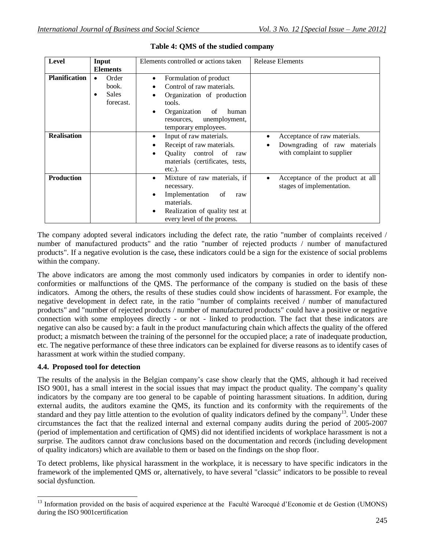| <b>Level</b>         | Input                                                    | Elements controlled or actions taken                                                                                                                               | <b>Release Elements</b>                                                                    |
|----------------------|----------------------------------------------------------|--------------------------------------------------------------------------------------------------------------------------------------------------------------------|--------------------------------------------------------------------------------------------|
|                      | <b>Elements</b>                                          |                                                                                                                                                                    |                                                                                            |
| <b>Planification</b> | Order<br>$\bullet$<br>book.<br><b>Sales</b><br>forecast. | Formulation of product<br>٠<br>Control of raw materials.<br>Organization of production<br>tools.<br>Organization<br>of<br>human<br>unemployment,<br>resources,     |                                                                                            |
|                      |                                                          | temporary employees.                                                                                                                                               |                                                                                            |
| <b>Realisation</b>   |                                                          | Input of raw materials.<br>Receipt of raw materials.<br>Quality control of<br>raw<br>$\bullet$<br>materials (certificates, tests,<br>$etc.$ ).                     | Acceptance of raw materials.<br>Downgrading of raw materials<br>with complaint to supplier |
| <b>Production</b>    |                                                          | Mixture of raw materials, if<br>٠<br>necessary.<br>Implementation<br>of<br>raw<br>materials.<br>Realization of quality test at<br>٠<br>every level of the process. | Acceptance of the product at all<br>stages of implementation.                              |

|  |  | Table 4: QMS of the studied company |
|--|--|-------------------------------------|
|  |  |                                     |

The company adopted several indicators including the defect rate, the ratio "number of complaints received / number of manufactured products" and the ratio "number of rejected products / number of manufactured products". If a negative evolution is the case**,** these indicators could be a sign for the existence of social problems within the company.

The above indicators are among the most commonly used indicators by companies in order to identify nonconformities or malfunctions of the QMS. The performance of the company is studied on the basis of these indicators. Among the others, the results of these studies could show incidents of harassment. For example, the negative development in defect rate, in the ratio "number of complaints received / number of manufactured products" and "number of rejected products / number of manufactured products" could have a positive or negative connection with some employees directly - or not - linked to production. The fact that these indicators are negative can also be caused by: a fault in the product manufacturing chain which affects the quality of the offered product; a mismatch between the training of the personnel for the occupied place; a rate of inadequate production, etc. The negative performance of these three indicators can be explained for diverse reasons as to identify cases of harassment at work within the studied company.

## **4.4. Proposed tool for detection**

The results of the analysis in the Belgian company's case show clearly that the QMS, although it had received ISO 9001, has a small interest in the social issues that may impact the product quality. The company's quality indicators by the company are too general to be capable of pointing harassment situations. In addition, during external audits, the auditors examine the QMS, its function and its conformity with the requirements of the standard and they pay little attention to the evolution of quality indicators defined by the company<sup>13</sup>. Under these circumstances the fact that the realized internal and external company audits during the period of 2005-2007 (period of implementation and certification of QMS) did not identified incidents of workplace harassment is not a surprise. The auditors cannot draw conclusions based on the documentation and records (including development of quality indicators) which are available to them or based on the findings on the shop floor.

To detect problems, like physical harassment in the workplace, it is necessary to have specific indicators in the framework of the implemented QMS or, alternatively, to have several "classic" indicators to be possible to reveal social dysfunction.

 $\overline{\phantom{a}}$ <sup>13</sup> Information provided on the basis of acquired experience at the Faculté Warocqué d'Economie et de Gestion (UMONS) during the ISO 9001certification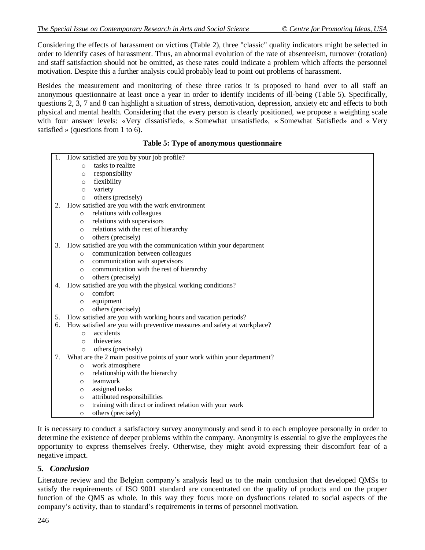Considering the effects of harassment on victims (Table 2), three "classic" quality indicators might be selected in order to identify cases of harassment. Thus, an abnormal evolution of the rate of absenteeism, turnover (rotation) and staff satisfaction should not be omitted, as these rates could indicate a problem which affects the personnel motivation. Despite this a further analysis could probably lead to point out problems of harassment.

Besides the measurement and monitoring of these three ratios it is proposed to hand over to all staff an anonymous questionnaire at least once a year in order to identify incidents of ill-being (Table 5). Specifically, questions 2, 3, 7 and 8 can highlight a situation of stress, demotivation, depression, anxiety etc and effects to both physical and mental health. Considering that the every person is clearly positioned, we propose a weighting scale with four answer levels: «Very dissatisfied», « Somewhat unsatisfied», « Somewhat Satisfied» and « Very satisfied » (questions from 1 to 6).

#### **Table 5: Type of anonymous questionnaire**

|    | 1. How satisfied are you by your job profile?                                  |  |
|----|--------------------------------------------------------------------------------|--|
|    | tasks to realize<br>$\Omega$                                                   |  |
|    | responsibility<br>O                                                            |  |
|    | flexibility<br>$\circ$                                                         |  |
|    | variety<br>$\circ$                                                             |  |
|    | others (precisely)<br>$\circ$                                                  |  |
| 2. | How satisfied are you with the work environment                                |  |
|    | relations with colleagues<br>$\circ$                                           |  |
|    | relations with supervisors<br>$\circ$                                          |  |
|    | relations with the rest of hierarchy<br>$\circ$                                |  |
|    | others (precisely)<br>$\circ$                                                  |  |
| 3. | How satisfied are you with the communication within your department            |  |
|    | communication between colleagues<br>$\circ$                                    |  |
|    | communication with supervisors<br>$\circ$                                      |  |
|    | communication with the rest of hierarchy<br>$\circ$                            |  |
|    | others (precisely)<br>$\circ$                                                  |  |
| 4. | How satisfied are you with the physical working conditions?                    |  |
|    | comfort<br>$\circ$                                                             |  |
|    | equipment<br>$\circ$                                                           |  |
|    | others (precisely)<br>$\circ$                                                  |  |
|    | 5. How satisfied are you with working hours and vacation periods?              |  |
| 6. | How satisfied are you with preventive measures and safety at workplace?        |  |
|    | accidents<br>$\circ$                                                           |  |
|    | thieveries<br>$\circ$                                                          |  |
|    | others (precisely)<br>$\circ$                                                  |  |
| 7. | What are the 2 main positive points of your work within your department?       |  |
|    | work atmosphere<br>$\circ$                                                     |  |
|    | relationship with the hierarchy<br>$\circ$<br>teamwork                         |  |
|    | $\circ$<br>assigned tasks                                                      |  |
|    | O<br>attributed responsibilities                                               |  |
|    | $\circ$<br>training with direct or indirect relation with your work<br>$\circ$ |  |
|    | others (precisely)<br>O                                                        |  |
|    |                                                                                |  |

It is necessary to conduct a satisfactory survey anonymously and send it to each employee personally in order to determine the existence of deeper problems within the company. Anonymity is essential to give the employees the opportunity to express themselves freely. Otherwise, they might avoid expressing their discomfort fear of a negative impact.

# *5. Conclusion*

Literature review and the Belgian company's analysis lead us to the main conclusion that developed QMSs to satisfy the requirements of ISO 9001 standard are concentrated on the quality of products and on the proper function of the QMS as whole. In this way they focus more on dysfunctions related to social aspects of the company's activity, than to standard's requirements in terms of personnel motivation.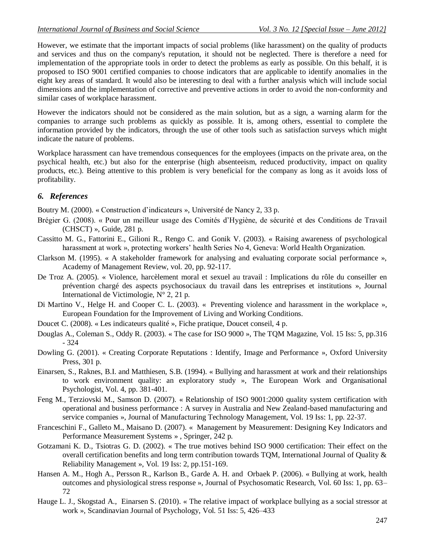However, we estimate that the important impacts of social problems (like harassment) on the quality of products and services and thus on the company's reputation, it should not be neglected. There is therefore a need for implementation of the appropriate tools in order to detect the problems as early as possible. On this behalf, it is proposed to ISO 9001 certified companies to choose indicators that are applicable to identify anomalies in the eight key areas of standard. It would also be interesting to deal with a further analysis which will include social dimensions and the implementation of corrective and preventive actions in order to avoid the non-conformity and similar cases of workplace harassment.

However the indicators should not be considered as the main solution, but as a sign, a warning alarm for the companies to arrange such problems as quickly as possible. It is, among others, essential to complete the information provided by the indicators, through the use of other tools such as satisfaction surveys which might indicate the nature of problems.

Workplace harassment can have tremendous consequences for the employees (impacts on the private area, on the psychical health, etc.) but also for the enterprise (high absenteeism, reduced productivity, impact on quality products, etc.). Being attentive to this problem is very beneficial for the company as long as it avoids loss of profitability.

# *6. References*

Boutry M. (2000). « Construction d'indicateurs », Université de Nancy 2, 33 p.

- Brégier G. (2008). « Pour un meilleur usage des Comités d'Hygiène, de sécurité et des Conditions de Travail (CHSCT) », Guide, 281 p.
- Cassitto M. G., Fattorini E., Gilioni R., Rengo C. and Gonik V. (2003). « Raising awareness of psychological harassment at work », protecting workers' health Series No 4, Geneva: World Health Organization.
- Clarkson M. (1995). « A stakeholder framework for analysing and evaluating corporate social performance », Academy of Management Review, vol. 20, pp. 92-117.
- De Troz A. (2005). « Violence, harcèlement moral et sexuel au travail : Implications du rôle du conseiller en prévention chargé des aspects psychosociaux du travail dans les entreprises et institutions », Journal International de Victimologie,  $N^{\circ}$  2, 21 p.
- Di Martino V., Helge H. and Cooper C. L. (2003). « Preventing violence and harassment in the workplace », European Foundation for the Improvement of Living and Working Conditions.
- Doucet C. (2008). « Les indicateurs qualité », Fiche pratique, Doucet conseil, 4 p.
- Douglas A., Coleman S., Oddy R. (2003). « The case for ISO 9000 », The TQM Magazine, Vol. 15 Iss: 5, pp.316 - 324
- Dowling G. (2001). « Creating Corporate Reputations : Identify, Image and Performance », Oxford University Press, 301 p.
- Einarsen, S., Raknes, B.I. and Matthiesen, S.B. (1994). « Bullying and harassment at work and their relationships to work environment quality: an exploratory study », The European Work and Organisational Psychologist, Vol. 4, pp. 381-401.
- Feng M., Terziovski M., Samson D. (2007). « Relationship of ISO 9001:2000 quality system certification with operational and business performance : A survey in Australia and New Zealand-based manufacturing and service companies », Journal of Manufacturing Technology Management, Vol. 19 Iss: 1, pp. 22-37.
- Franceschini F., Galleto M., Maisano D. (2007). « Management by Measurement: Designing Key Indicators and Performance Measurement Systems » , Springer, 242 p.
- Gotzamani K. D., Tsiotras G. D. (2002). « The true motives behind ISO 9000 certification: Their effect on the overall certification benefits and long term contribution towards TQM, International Journal of Quality & Reliability Management », Vol. 19 Iss: 2, pp.151-169.
- Hansen A. M., Hogh A., Persson R., Karlson B., Garde A. H. and Orbaek P. (2006). « Bullying at work, health outcomes and physiological stress response », Journal of Psychosomatic Research, Vol. 60 Iss: 1, pp. 63– 72
- Hauge L. J., Skogstad A., Einarsen S. (2010). « The relative impact of workplace bullying as a social stressor at work », Scandinavian Journal of Psychology, Vol. 51 Iss: 5, 426–433